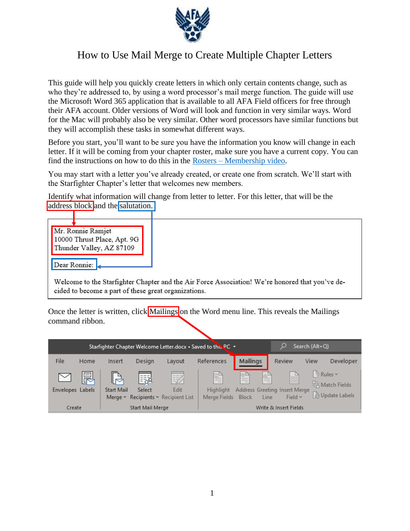

# How to Use Mail Merge to Create Multiple Chapter Letters

This guide will help you quickly create letters in which only certain contents change, such as who they're addressed to, by using a word processor's mail merge function. The guide will use the Microsoft Word 365 application that is available to all AFA Field officers for free through their AFA account. Older versions of Word will look and function in very similar ways. Word for the Mac will probably also be very similar. Other word processors have similar functions but they will accomplish these tasks in somewhat different ways.

Before you start, you'll want to be sure you have the information you know will change in each letter. If it will be coming from your chapter roster, make sure you have a current copy. You can find the instructions on how to do this in the Rosters – [Membership video.](https://www.afa.org/content/dam/afa/trainingmodules/2021%20Membership%20Roster%20update.mp4)

You may start with a letter you've already created, or create one from scratch. We'll start with the Starfighter Chapter's letter that welcomes new members.

Identify what information will change from letter to letter. For this letter, that will be the address block and the salutation.



Once the letter is written, click Mailings on the Word menu line. This reveals the Mailings command ribbon.

| Starfighter Chapter Welcome Letter.docx • Saved to this PC ▼ |                                                     |                                         |             |                                          |                                       |                                             | Ω<br>Search (Alt+Q) |                               |      |                                                      |
|--------------------------------------------------------------|-----------------------------------------------------|-----------------------------------------|-------------|------------------------------------------|---------------------------------------|---------------------------------------------|---------------------|-------------------------------|------|------------------------------------------------------|
| File                                                         | Home                                                | Insert                                  | Design      | Layout                                   | References                            | Mailings                                    |                     | Review                        | View | Developer                                            |
| $\simeq$<br>Envelopes Labels                                 | ę                                                   | IЭ<br><b>Start Mail</b><br>Merge $\sim$ | 쁿<br>Select | 認<br>Edit<br>Recipients v Recipient List | 발<br><b>Highlight</b><br>Merge Fields | ≞<br>Address Greeting Insert Merge<br>Block | 할<br>Line           | eller<br>1990<br>Field $\sim$ |      | Rules ~<br><b>A</b> Match Fields<br>De Update Labels |
|                                                              | Create<br>Start Mail Merge<br>Write & Insert Fields |                                         |             |                                          |                                       |                                             |                     |                               |      |                                                      |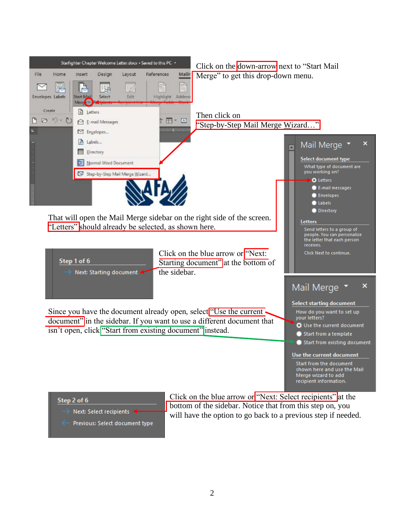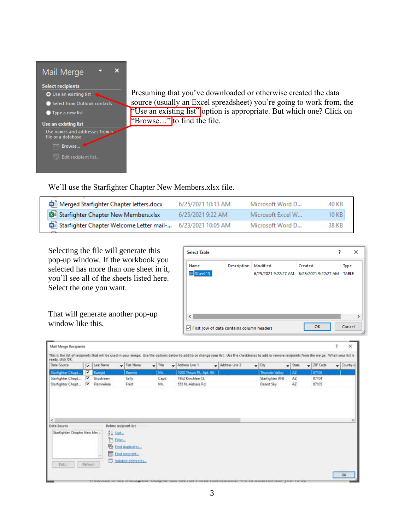

Presuming that you've downloaded or otherwise created the data source (usually an Excel spreadsheet) you're going to work from, the "Use an existing list" option is appropriate. But which one? Click on "Browse..." to find the file.

We'll use the Starfighter Chapter New Members.xlsx file.

| Merged Starfighter Chapter letters.docx                     | 6/25/2021 10:13 AM | Microsoft Word D  | 40 KB |
|-------------------------------------------------------------|--------------------|-------------------|-------|
| <b>DE Starfighter Chapter New Members.xlsx</b>              | 6/25/2021 9:22 AM  | Microsoft Excel W | 10 KB |
| Starfighter Chapter Welcome Letter mail- 6/23/2021 10:05 AM |                    | Microsoft Word D  | 38 KB |

Selecting the file will generate this pop-up window. If the workbook you selected has more than one sheet in it, you'll see all of the sheets listed here. Select the one you want.

That will generate another pop-up window like this.

| <b>Select Table</b>                                            |             |          | ?                                                    | $\times$             |               |
|----------------------------------------------------------------|-------------|----------|------------------------------------------------------|----------------------|---------------|
| Name<br><b>国</b> Sheet1S                                       | Description | Modified | Created<br>6/25/2021 9:22:27 AM 6/25/2021 9:22:27 AM | Type<br><b>TABLE</b> |               |
| $\langle$                                                      |             |          |                                                      |                      | $\rightarrow$ |
| $\sqrt{\phantom{a}}$ First row of data contains column headers |             |          | OK                                                   | Cancel               |               |

| Data Source       | $\overline{\mathbf{v}}$ | <b>Last Name</b><br>۰ı | First Name | $-$ Title<br>۰۱ | Address Line 1<br>المحا | Address Line 2 | $-$ City<br>$\bullet$ | State | - ZIP Code | $\overline{\phantom{a}}$ Country of |
|-------------------|-------------------------|------------------------|------------|-----------------|-------------------------|----------------|-----------------------|-------|------------|-------------------------------------|
| Starfighter Chapt | V                       | <b>Ramjet</b>          | Romme      | Mr.             | 1000 Thrust PL, Apt. 96 |                | Thunder Valley        | AZ.   | 87109      |                                     |
| Starfighter Chapt | P                       | Slipstream             | Sally      | Capt            | 1952 Kinchloe Ct.       |                | Starfighter AFB       | AZ    | 87104      |                                     |
| Starfighter Chapt | σ                       | Ramminia               | Fred       | Mr.             | 555 N. Airbase Rd.      |                | Desert Sky            | AZ    | 87105      |                                     |
|                   |                         |                        |            |                 |                         |                |                       |       |            |                                     |
|                   |                         |                        |            |                 |                         |                |                       |       |            |                                     |
| ×<br>Data Source  |                         | Refine recipient list  |            |                 |                         |                |                       |       |            |                                     |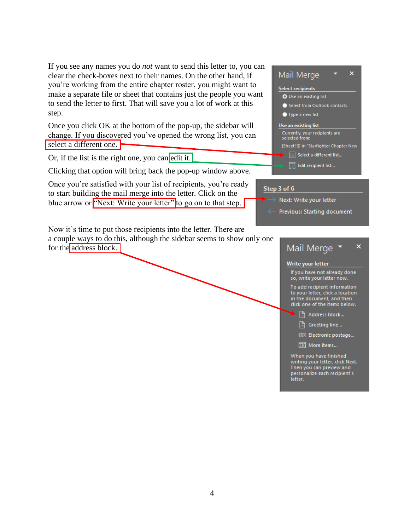If you see any names you do *not* want to send this letter to, you can clear the check-boxes next to their names. On the other hand, if you're working from the entire chapter roster, you might want to make a separate file or sheet that contains just the people you want to send the letter to first. That will save you a lot of work at this step.

Once you click OK at the bottom of the pop-up, the sidebar will change. If you discovered you've opened the wrong list, you can select a different one.

Or, if the list is the right one, you can edit it.

Clicking that option will bring back the pop-up window above.

Once you're satisfied with your list of recipients, you're ready to start building the mail merge into the letter. Click on the blue arrow or "Next: Write your letter" to go on to that step.

Now it's time to put those recipients into the letter. There are a couple ways to do this, although the sidebar seems to show only one for the address block.

## $\overline{\mathbf{x}}$ Mail Merge **Select recipients** O Use an existing list Select from Outlook contacts • Type a new list Use an existing list Currently, your recipients are<br>selected from: [Sheet1\$] in "Starfighter Chapter New Select a different list...  $\boxed{\mathbb{Z}}$  Edit recipient list...

### Step 3 of 6

- Next: Write your letter
- Previous: Starting document

#### Mail Merge ×

#### Write your letter

If you have not already done so, write your letter now.

To add recipient information to your letter, click a location in the document, and then click one of the items below.

Address block...

A Greeting line...

@& Electronic postage...

国 More items...

When you have finished writing your letter, click Next. Then you can preview and personalize each recipient's letter.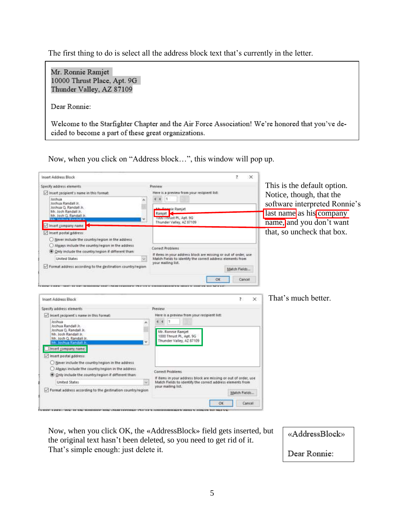The first thing to do is select all the address block text that's currently in the letter.

Mr. Ronnie Ramjet 10000 Thrust Place, Apt. 9G Thunder Valley, AZ 87109

Dear Ronnie:

Welcome to the Starfighter Chapter and the Air Force Association! We're honored that you've decided to become a part of these great organizations.

Now, when you click on "Address block…", this window will pop up.

| Insert Address Block                                                                                                                                                               | ×                                                                                                                           |                                                                                                                   |
|------------------------------------------------------------------------------------------------------------------------------------------------------------------------------------|-----------------------------------------------------------------------------------------------------------------------------|-------------------------------------------------------------------------------------------------------------------|
| Specify address elements                                                                                                                                                           | Preview                                                                                                                     | This is the default option.                                                                                       |
| Insert recipient's name in this format:<br><b>Joshua</b><br>Joshua Randall Jr.<br>Joshua Q. Randall Jr.<br>Mr. Josh Randall Jr.<br>Mr. Josh Q. Randall Jr.<br>Insert company name  | Here is a preview from your recipient list:<br>nie Ramjet<br>Ramjet<br>1000 Thrust PL, Apt. 9G<br>Thunder Valley, AZ 87109. | Notice, though, that the<br>software interpreted Ronnie's<br>last name as his company<br>name, and you don't want |
| Insert postal address:<br>O Never include the country/region in the address                                                                                                        |                                                                                                                             | that, so uncheck that box.                                                                                        |
| Always include the country/region in the address<br>(@) Only include the country/region if different than:                                                                         | Correct Problems<br>If items in your address block are missing or out of order, use                                         |                                                                                                                   |
| United States                                                                                                                                                                      | Match Fields to identify the correct address elements from<br>your mailing list.                                            |                                                                                                                   |
| Format address according to the gestination country/region                                                                                                                         | Match Fields<br>ÖK<br>Cancel                                                                                                |                                                                                                                   |
| Insert Address Block                                                                                                                                                               | $\times$<br>$\mathfrak{p}$                                                                                                  | That's much better.                                                                                               |
| Specify address elements                                                                                                                                                           | Preview                                                                                                                     |                                                                                                                   |
| Insert recipient's name in this format:                                                                                                                                            | Here is a preview from your recipient list:                                                                                 |                                                                                                                   |
| Joshua<br>Joshua Randall Jr.<br>Joshua G. Randali Jr.<br>Mr. Josh Randall Jr.<br>Mr. Josh Q. Randall Jr.<br>Mr. Joshua Randall J<br>linsert company name<br>Insert postal address: | $\overline{4}$<br>Mr. Ronnie Ramjet<br>1000 Thrust PL, Apt. 9G<br>Thunder Valley, AZ 87109                                  |                                                                                                                   |
| O Never include the country/region in the address.<br>Ahvays include the country/region in the address<br>Only include the country/region if different than:                       | Correct Problems<br>If items in your address block are missing or out of order, use                                         |                                                                                                                   |
| United States                                                                                                                                                                      | Match Fields to identify the correct address elements from                                                                  |                                                                                                                   |
| Tormat address according to the destination country/region                                                                                                                         | your mailing list.<br>Match Fields                                                                                          |                                                                                                                   |
|                                                                                                                                                                                    | OK<br>Cancel                                                                                                                |                                                                                                                   |

Now, when you click OK, the «AddressBlock» field gets inserted, but the original text hasn't been deleted, so you need to get rid of it. That's simple enough: just delete it.

«AddressBlock»

Dear Ronnie: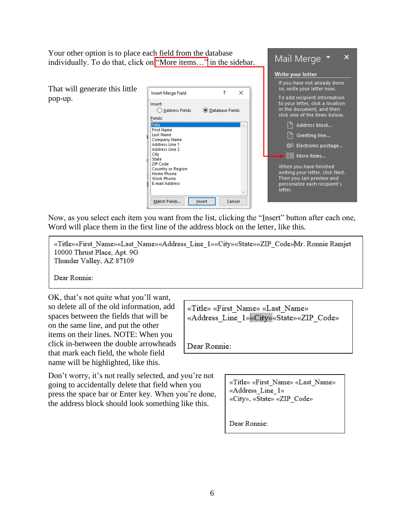Your other option is to place each field from the database individually. To do that, click on "More items..." in the sidebar.

That will generate this little pop-up.



| Mail Merge                                                                                                                        |
|-----------------------------------------------------------------------------------------------------------------------------------|
| <b>Write your letter</b>                                                                                                          |
| If you have not already done<br>so, write your letter now.                                                                        |
| To add recipient information<br>to your letter, click a location<br>in the document, and then<br>click one of the items below.    |
| Address block                                                                                                                     |
| $\left  \frac{n}{n} \right $ Greeting line                                                                                        |
| ◎≋ Electronic postage                                                                                                             |
| $\blacktriangleright$ $\boxplus$ More items                                                                                       |
| When you have finished<br>writing your letter, click Next.<br>Then you can preview and<br>personalize each recipient's<br>letter. |

Now, as you select each item you want from the list, clicking the "Insert" button after each one, Word will place them in the first line of the address block on the letter, like this.

«Title»«First Name»«Last Name»«Address Line 1»«City»«State»«ZIP Code»Mr. Ronnie Ramjet 10000 Thrust Place, Apt. 9G Thunder Valley, AZ 87109

Dear Ronnie:

OK, that's not quite what you'll want, so delete all of the old information, add spaces between the fields that will be on the same line, and put the other items on their lines. NOTE: When you click in-between the double arrowheads that mark each field, the whole field name will be highlighted, like this.

Don't worry, it's not really selected, and you're not going to accidentally delete that field when you press the space bar or Enter key. When you're done, the address block should look something like this.

«Title» «First Name» «Last Name» «Address Line 1» «City» «State» «ZIP Code»

Dear Ronnie:

«Title» «First Name» «Last Name» «Address Line 1» «City», «State» «ZIP Code»

Dear Ronnie: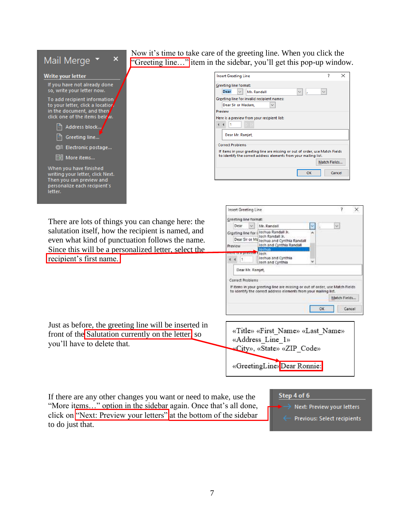

Now it's time to take care of the greeting line. When you click the "Greeting line..." item in the sidebar, you'll get this pop-up window.

| Insert Greeting Line                                                                                                                             |              | × |
|--------------------------------------------------------------------------------------------------------------------------------------------------|--------------|---|
| Greeting line format:                                                                                                                            |              |   |
| <b>Dear</b><br>Mr. Randall<br>$\checkmark$<br>$\checkmark$<br>k,                                                                                 | $\checkmark$ |   |
| Greeting line for invalid recipient names:                                                                                                       |              |   |
| Dear Sir or Madam,<br>$\checkmark$                                                                                                               |              |   |
| Preview                                                                                                                                          |              |   |
| Here is a preview from your recipient list:                                                                                                      |              |   |
|                                                                                                                                                  |              |   |
| Dear Mr. Ramjet,                                                                                                                                 |              |   |
| <b>Correct Problems</b>                                                                                                                          |              |   |
| If items in your greeting line are missing or out of order, use Match Fields<br>to identify the correct address elements from your mailing list. |              |   |
|                                                                                                                                                  | Match Fields |   |
| OK                                                                                                                                               | Cancel       |   |

There are lots of things you can change here: the salutation itself, how the recipient is named, and even what kind of punctuation follows the name. Since this will be a personalized letter, select the recipient's first name.

Just as before, the greeting line will be inserted in front of the Salutation currently on the letter, so

you'll have to delete that.



«GreetingLine» Dear Ronnie:

If there are any other changes you want or need to make, use the "More items..." option in the sidebar again. Once that's all done, click on "Next: Preview your letters" at the bottom of the sidebar to do just that.



Previous: Select recipients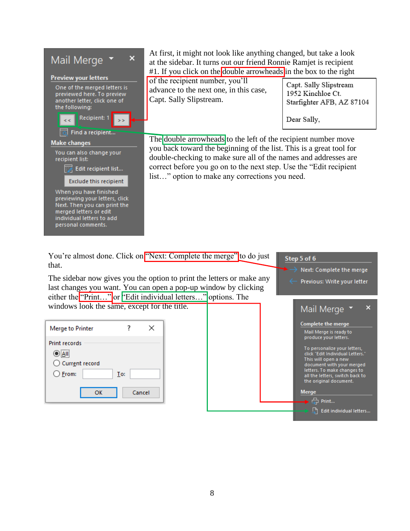

At first, it might not look like anything changed, but take a look at the sidebar. It turns out our friend Ronnie Ramjet is recipient #1. If you click on the double arrowheads in the box to the right

of the recipient number, you'll advance to the next one, in this case, Capt. Sally Slipstream.

Capt. Sally Slipstream 1952 Kinchloe Ct. Starfighter AFB, AZ 87104

Dear Sally,

The double arrowheads to the left of the recipient number move you back toward the beginning of the list. This is a great tool for double-checking to make sure all of the names and addresses are correct before you go on to the next step. Use the "Edit recipient list…" option to make any corrections you need.

You're almost done. Click on "Next: Complete the merge" to do just that.

The sidebar now gives you the option to print the letters or make any last changes you want. You can open a pop-up window by clicking either the "Print..." or "Edit individual letters..." options. The windows look the same, except for the title.

| Merge to Printer                                                            |     | ×      |
|-----------------------------------------------------------------------------|-----|--------|
| <b>Print records</b><br>$\odot$ All<br>○ Current record<br>$\bigcirc$ Erom: | To: |        |
| ок                                                                          |     | Cancel |



Step 5 of 6